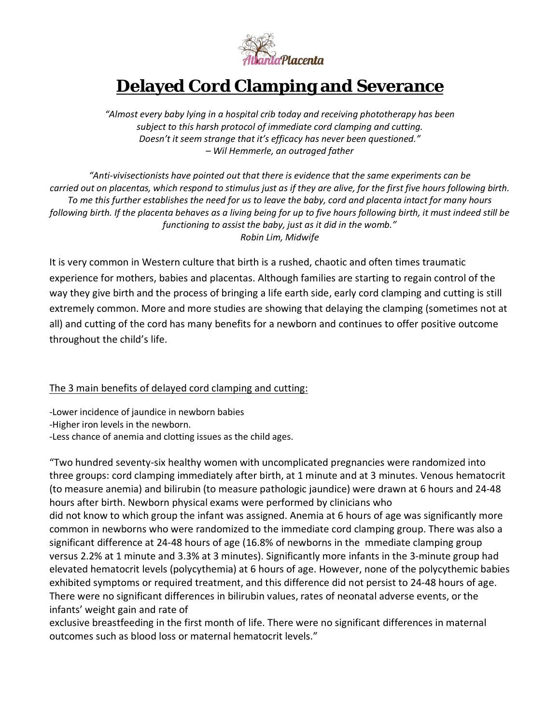

# **Delayed Cord Clamping and Severance**

*"Almost every baby lying in a hospital crib today and receiving phototherapy has been subject to this harsh protocol of immediate cord clamping and cutting. Doesn't it seem strange that it's efficacy has never been questioned." – Wil Hemmerle, an outraged father*

*"Anti-vivisectionists have pointed out that there is evidence that the same experiments can be carried out on placentas, which respond to stimulus just as if they are alive, for the first five hours following birth. To me this further establishes the need for us to leave the baby, cord and placenta intact for many hours following birth. If the placenta behaves as a living being for up to five hours following birth, it must indeed still be functioning to assist the baby, just as it did in the womb." Robin Lim, Midwife*

It is very common in Western culture that birth is a rushed, chaotic and often times traumatic experience for mothers, babies and placentas. Although families are starting to regain control of the way they give birth and the process of bringing a life earth side, early cord clamping and cutting is still extremely common. More and more studies are showing that delaying the clamping (sometimes not at all) and cutting of the cord has many benefits for a newborn and continues to offer positive outcome throughout the child's life.

## The 3 main benefits of delayed cord clamping and cutting:

-Lower incidence of jaundice in newborn babies

-Higher iron levels in the newborn.

-Less chance of anemia and clotting issues as the child ages.

"Two hundred seventy-six healthy women with uncomplicated pregnancies were randomized into three groups: cord clamping immediately after birth, at 1 minute and at 3 minutes. Venous hematocrit (to measure anemia) and bilirubin (to measure pathologic jaundice) were drawn at 6 hours and 24-48 hours after birth. Newborn physical exams were performed by clinicians who did not know to which group the infant was assigned. Anemia at 6 hours of age was significantly more common in newborns who were randomized to the immediate cord clamping group. There was also a significant difference at 24-48 hours of age (16.8% of newborns in the mmediate clamping group versus 2.2% at 1 minute and 3.3% at 3 minutes). Significantly more infants in the 3-minute group had elevated hematocrit levels (polycythemia) at 6 hours of age. However, none of the polycythemic babies exhibited symptoms or required treatment, and this difference did not persist to 24-48 hours of age. There were no significant differences in bilirubin values, rates of neonatal adverse events, or the infants' weight gain and rate of

exclusive breastfeeding in the first month of life. There were no significant differences in maternal outcomes such as blood loss or maternal hematocrit levels."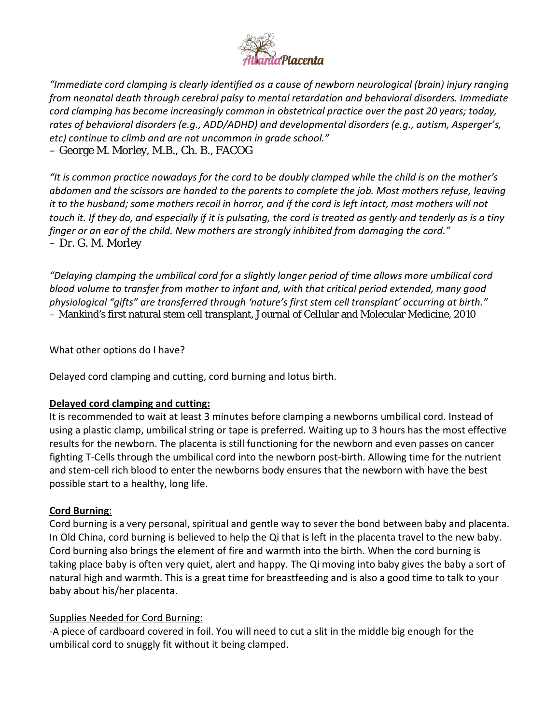

*"Immediate cord clamping is clearly identified as a cause of newborn neurological (brain) injury ranging from neonatal death through cerebral palsy to mental retardation and behavioral disorders. Immediate cord clamping has become increasingly common in obstetrical practice over the past 20 years; today, rates of behavioral disorders (e.g., ADD/ADHD) and developmental disorders (e.g., autism, Asperger's, etc) continue to climb and are not uncommon in grade school."* – George M. Morley, M.B., Ch. B., FACOG

*"It is common practice nowadays for the cord to be doubly clamped while the child is on the mother's abdomen and the scissors are handed to the parents to complete the job. Most mothers refuse, leaving it to the husband; some mothers recoil in horror, and if the cord is left intact, most mothers will not touch it. If they do, and especially if it is pulsating, the cord is treated as gently and tenderly as is a tiny finger or an ear of the child. New mothers are strongly inhibited from damaging the cord."* – Dr. G. M. Morley

*"Delaying clamping the umbilical cord for a slightly longer period of time allows more umbilical cord blood volume to transfer from mother to infant and, with that critical period extended, many good physiological "gifts" are transferred through 'nature's first stem cell transplant' occurring at birth."* – Mankind's first natural stem cell transplant, Journal of Cellular and Molecular Medicine, 2010

### What other options do I have?

Delayed cord clamping and cutting, cord burning and lotus birth.

#### **Delayed cord clamping and cutting:**

It is recommended to wait at least 3 minutes before clamping a newborns umbilical cord. Instead of using a plastic clamp, umbilical string or tape is preferred. Waiting up to 3 hours has the most effective results for the newborn. The placenta is still functioning for the newborn and even passes on cancer fighting T-Cells through the umbilical cord into the newborn post-birth. Allowing time for the nutrient and stem-cell rich blood to enter the newborns body ensures that the newborn with have the best possible start to a healthy, long life.

#### **Cord Burning**:

Cord burning is a very personal, spiritual and gentle way to sever the bond between baby and placenta. In Old China, cord burning is believed to help the Qi that is left in the placenta travel to the new baby. Cord burning also brings the element of fire and warmth into the birth. When the cord burning is taking place baby is often very quiet, alert and happy. The Qi moving into baby gives the baby a sort of natural high and warmth. This is a great time for breastfeeding and is also a good time to talk to your baby about his/her placenta.

## Supplies Needed for Cord Burning:

-A piece of cardboard covered in foil. You will need to cut a slit in the middle big enough for the umbilical cord to snuggly fit without it being clamped.